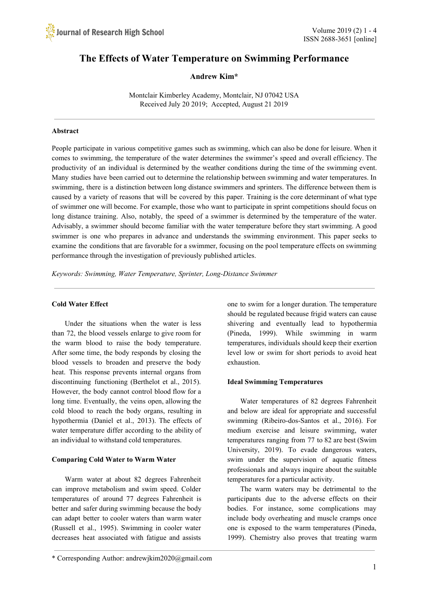# **The Effects of Water Temperature on Swimming Performance**

# **Andrew Kim\***

Montclair Kimberley Academy, Montclair, NJ 07042 USA Received July 20 2019; Accepted, August 21 2019

#### **Abstract**

People participate in various competitive games such as swimming, which can also be done for leisure. When it comes to swimming, the temperature of the water determines the swimmer's speed and overall efficiency. The productivity of an individual is determined by the weather conditions during the time of the swimming event. Many studies have been carried out to determine the relationship between swimming and water temperatures. In swimming, there is a distinction between long distance swimmers and sprinters. The difference between them is caused by a variety of reasons that will be covered by this paper. Training is the core determinant of what type of swimmer one will become. For example, those who want to participate in sprint competitions should focus on long distance training. Also, notably, the speed of a swimmer is determined by the temperature of the water. Advisably, a swimmer should become familiar with the water temperature before they start swimming. A good swimmer is one who prepares in advance and understands the swimming environment. This paper seeks to examine the conditions that are favorable for a swimmer, focusing on the pool temperature effects on swimming performance through the investigation of previously published articles.

*Keywords: Swimming, Water Temperature, Sprinter, Long-Distance Swimmer* 

#### **Cold Water Effect**

Under the situations when the water is less than 72, the blood vessels enlarge to give room for the warm blood to raise the body temperature. After some time, the body responds by closing the blood vessels to broaden and preserve the body heat. This response prevents internal organs from discontinuing functioning (Berthelot et al., 2015). However, the body cannot control blood flow for a long time. Eventually, the veins open, allowing the cold blood to reach the body organs, resulting in hypothermia (Daniel et al., 2013). The effects of water temperature differ according to the ability of an individual to withstand cold temperatures.

#### **Comparing Cold Water to Warm Water**

Warm water at about 82 degrees Fahrenheit can improve metabolism and swim speed. Colder temperatures of around 77 degrees Fahrenheit is better and safer during swimming because the body can adapt better to cooler waters than warm water (Russell et al., 1995). Swimming in cooler water decreases heat associated with fatigue and assists one to swim for a longer duration. The temperature should be regulated because frigid waters can cause shivering and eventually lead to hypothermia (Pineda, 1999). While swimming in warm temperatures, individuals should keep their exertion level low or swim for short periods to avoid heat exhaustion.

#### **Ideal Swimming Temperatures**

Water temperatures of 82 degrees Fahrenheit and below are ideal for appropriate and successful swimming (Ribeiro-dos-Santos et al., 2016). For medium exercise and leisure swimming, water temperatures ranging from 77 to 82 are best (Swim University, 2019). To evade dangerous waters, swim under the supervision of aquatic fitness professionals and always inquire about the suitable temperatures for a particular activity.

The warm waters may be detrimental to the participants due to the adverse effects on their bodies. For instance, some complications may include body overheating and muscle cramps once one is exposed to the warm temperatures (Pineda, 1999). Chemistry also proves that treating warm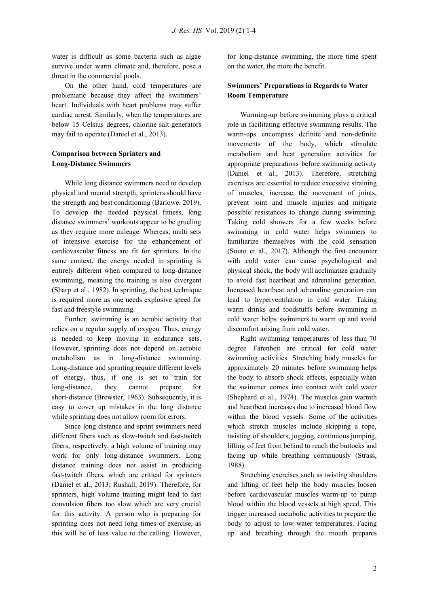water is difficult as some bacteria such as algae survive under warm climate and, therefore, pose a threat in the commercial pools.

On the other hand, cold temperatures are problematic because they affect the swimmers' heart. Individuals with heart problems may suffer cardiac arrest. Similarly, when the temperatures are below 15 Celsius degrees, chlorine salt generators may fail to operate (Daniel et al., 2013).

# **Comparison between Sprinters and Long-Distance Swimmers**

While long distance swimmers need to develop physical and mental strength, sprinters should have the strength and best conditioning (Barlowe, 2019). To develop the needed physical fitness, long distance swimmers' workouts appear to be grueling as they require more mileage. Whereas, multi sets of intensive exercise for the enhancement of cardiovascular fitness are fit for sprinters. In the same context, the energy needed in sprinting is entirely different when compared to long-distance swimming, meaning the training is also divergent (Sharp et al., 1982). In sprinting, the best technique is required more as one needs explosive speed for fast and freestyle swimming.

Further, swimming is an aerobic activity that relies on a regular supply of oxygen. Thus, energy is needed to keep moving in endurance sets. However, sprinting does not depend on aerobic metabolism as in long-distance swimming. Long-distance and sprinting require different levels of energy, thus, if one is set to train for long-distance, they cannot prepare for short-distance (Brewster, 1963). Subsequently, it is easy to cover up mistakes in the long distance while sprinting does not allow room for errors.

Since long distance and sprint swimmers need different fibers such as slow-twitch and fast-twitch fibers, respectively, a high volume of training may work for only long-distance swimmers. Long distance training does not assist in producing fast-twitch fibers, which are critical for sprinters (Daniel et al., 2013; Rushall, 2019). Therefore, for sprinters, high volume training might lead to fast convulsion fibers too slow which are very crucial for this activity. A person who is preparing for sprinting does not need long times of exercise, as this will be of less value to the calling. However, for long-distance swimming, the more time spent on the water, the more the benefit.

## **Swimmers' Preparations in Regards to Water Room Temperature**

Warming-up before swimming plays a critical role in facilitating effective swimming results. The warm-ups encompass definite and non-definite movements of the body, which stimulate metabolism and heat generation activities for appropriate preparations before swimming activity (Daniel et al., 2013). Therefore, stretching exercises are essential to reduce excessive straining of muscles, increase the movement of joints, prevent joint and muscle injuries and mitigate possible resistances to change during swimming. Taking cold showers for a few weeks before swimming in cold water helps swimmers to familiarize themselves with the cold sensation (Souto et al., 2017). Although the first encounter with cold water can cause psychological and physical shock, the body will acclimatize gradually to avoid fast heartbeat and adrenaline generation. Increased heartbeat and adrenaline generation can lead to hyperventilation in cold water. Taking warm drinks and foodstuffs before swimming in cold water helps swimmers to warm up and avoid discomfort arising from cold water.

Right swimming temperatures of less than 70 degree Farenheit are critical for cold water swimming activities. Stretching body muscles for approximately 20 minutes before swimming helps the body to absorb shock effects, especially when the swimmer comes into contact with cold water (Shephard et al., 1974). The muscles gain warmth and heartbeat increases due to increased blood flow within the blood vessels. Some of the activities which stretch muscles include skipping a rope, twisting of shoulders, jogging, continuous jumping, lifting of feet from behind to reach the buttocks and facing up while breathing continuously (Strass, 1988).

Stretching exercises such as twisting shoulders and lifting of feet help the body muscles loosen before cardiovascular muscles warm-up to pump blood within the blood vessels at high speed. This trigger increased metabolic activities to prepare the body to adjust to low water temperatures. Facing up and breathing through the mouth prepares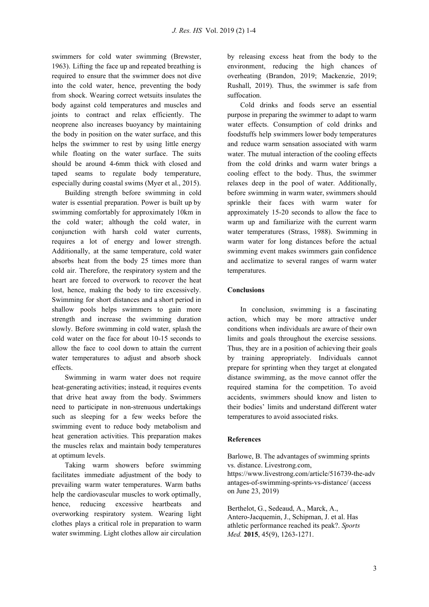swimmers for cold water swimming (Brewster, 1963). Lifting the face up and repeated breathing is required to ensure that the swimmer does not dive into the cold water, hence, preventing the body from shock. Wearing correct wetsuits insulates the body against cold temperatures and muscles and joints to contract and relax efficiently. The neoprene also increases buoyancy by maintaining the body in position on the water surface, and this helps the swimmer to rest by using little energy while floating on the water surface. The suits should be around 4-6mm thick with closed and taped seams to regulate body temperature, especially during coastal swims (Myer et al., 2015).

Building strength before swimming in cold water is essential preparation. Power is built up by swimming comfortably for approximately 10km in the cold water; although the cold water, in conjunction with harsh cold water currents, requires a lot of energy and lower strength. Additionally, at the same temperature, cold water absorbs heat from the body 25 times more than cold air. Therefore, the respiratory system and the heart are forced to overwork to recover the heat lost, hence, making the body to tire excessively. Swimming for short distances and a short period in shallow pools helps swimmers to gain more strength and increase the swimming duration slowly. Before swimming in cold water, splash the cold water on the face for about 10-15 seconds to allow the face to cool down to attain the current water temperatures to adjust and absorb shock effects.

Swimming in warm water does not require heat-generating activities; instead, it requires events that drive heat away from the body. Swimmers need to participate in non-strenuous undertakings such as sleeping for a few weeks before the swimming event to reduce body metabolism and heat generation activities. This preparation makes the muscles relax and maintain body temperatures at optimum levels.

Taking warm showers before swimming facilitates immediate adjustment of the body to prevailing warm water temperatures. Warm baths help the cardiovascular muscles to work optimally, hence, reducing excessive heartbeats and overworking respiratory system. Wearing light clothes plays a critical role in preparation to warm water swimming. Light clothes allow air circulation by releasing excess heat from the body to the environment, reducing the high chances of overheating (Brandon, 2019; Mackenzie, 2019; Rushall, 2019). Thus, the swimmer is safe from suffocation.

Cold drinks and foods serve an essential purpose in preparing the swimmer to adapt to warm water effects. Consumption of cold drinks and foodstuffs help swimmers lower body temperatures and reduce warm sensation associated with warm water. The mutual interaction of the cooling effects from the cold drinks and warm water brings a cooling effect to the body. Thus, the swimmer relaxes deep in the pool of water. Additionally, before swimming in warm water, swimmers should sprinkle their faces with warm water for approximately 15-20 seconds to allow the face to warm up and familiarize with the current warm water temperatures (Strass, 1988). Swimming in warm water for long distances before the actual swimming event makes swimmers gain confidence and acclimatize to several ranges of warm water temperatures.

### **Conclusions**

In conclusion, swimming is a fascinating action, which may be more attractive under conditions when individuals are aware of their own limits and goals throughout the exercise sessions. Thus, they are in a position of achieving their goals by training appropriately. Individuals cannot prepare for sprinting when they target at elongated distance swimming, as the move cannot offer the required stamina for the competition. To avoid accidents, swimmers should know and listen to their bodies' limits and understand different water temperatures to avoid associated risks.

#### **References**

Barlowe, B. The advantages of swimming sprints vs. distance. Livestrong.com, https://www.livestrong.com/article/516739-the-adv antages-of-swimming-sprints-vs-distance/ (access on June 23, 2019)

Berthelot, G., Sedeaud, A., Marck, A., Antero-Jacquemin, J., Schipman, J. et al. Has athletic performance reached its peak?. *Sports Med.* **2015**, 45(9), 1263-1271.